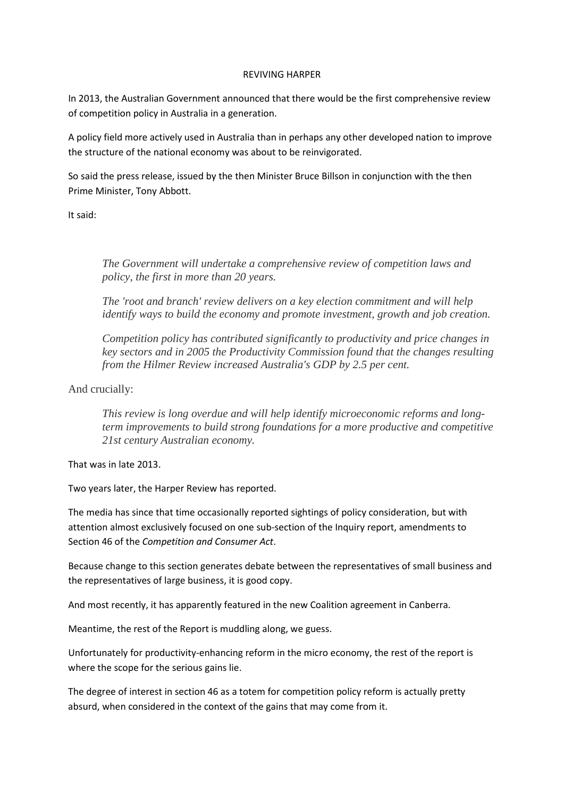## REVIVING HARPER

In 2013, the Australian Government announced that there would be the first comprehensive review of competition policy in Australia in a generation.

A policy field more actively used in Australia than in perhaps any other developed nation to improve the structure of the national economy was about to be reinvigorated.

So said the press release, issued by the then Minister Bruce Billson in conjunction with the then Prime Minister, Tony Abbott.

It said:

*The Government will undertake a comprehensive review of competition laws and policy, the first in more than 20 years.*

*The 'root and branch' review delivers on a key election commitment and will help identify ways to build the economy and promote investment, growth and job creation.*

*Competition policy has contributed significantly to productivity and price changes in key sectors and in 2005 the Productivity Commission found that the changes resulting from the Hilmer Review increased Australia's GDP by 2.5 per cent.*

And crucially:

*This review is long overdue and will help identify microeconomic reforms and longterm improvements to build strong foundations for a more productive and competitive 21st century Australian economy.*

That was in late 2013.

Two years later, the Harper Review has reported.

The media has since that time occasionally reported sightings of policy consideration, but with attention almost exclusively focused on one sub-section of the Inquiry report, amendments to Section 46 of the *Competition and Consumer Act*.

Because change to this section generates debate between the representatives of small business and the representatives of large business, it is good copy.

And most recently, it has apparently featured in the new Coalition agreement in Canberra.

Meantime, the rest of the Report is muddling along, we guess.

Unfortunately for productivity-enhancing reform in the micro economy, the rest of the report is where the scope for the serious gains lie.

The degree of interest in section 46 as a totem for competition policy reform is actually pretty absurd, when considered in the context of the gains that may come from it.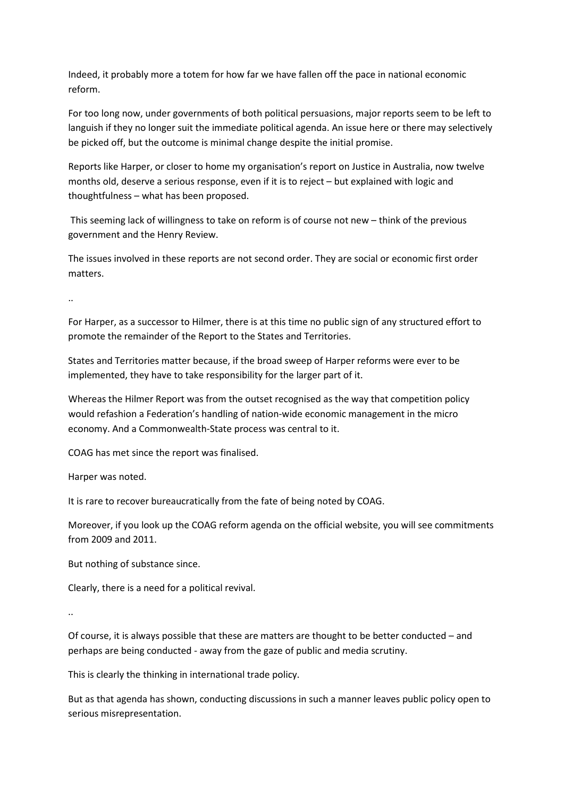Indeed, it probably more a totem for how far we have fallen off the pace in national economic reform.

For too long now, under governments of both political persuasions, major reports seem to be left to languish if they no longer suit the immediate political agenda. An issue here or there may selectively be picked off, but the outcome is minimal change despite the initial promise.

Reports like Harper, or closer to home my organisation's report on Justice in Australia, now twelve months old, deserve a serious response, even if it is to reject – but explained with logic and thoughtfulness – what has been proposed.

This seeming lack of willingness to take on reform is of course not new – think of the previous government and the Henry Review.

The issues involved in these reports are not second order. They are social or economic first order matters.

..

For Harper, as a successor to Hilmer, there is at this time no public sign of any structured effort to promote the remainder of the Report to the States and Territories.

States and Territories matter because, if the broad sweep of Harper reforms were ever to be implemented, they have to take responsibility for the larger part of it.

Whereas the Hilmer Report was from the outset recognised as the way that competition policy would refashion a Federation's handling of nation-wide economic management in the micro economy. And a Commonwealth-State process was central to it.

COAG has met since the report was finalised.

Harper was noted.

It is rare to recover bureaucratically from the fate of being noted by COAG.

Moreover, if you look up the COAG reform agenda on the official website, you will see commitments from 2009 and 2011.

But nothing of substance since.

Clearly, there is a need for a political revival.

..

Of course, it is always possible that these are matters are thought to be better conducted – and perhaps are being conducted - away from the gaze of public and media scrutiny.

This is clearly the thinking in international trade policy.

But as that agenda has shown, conducting discussions in such a manner leaves public policy open to serious misrepresentation.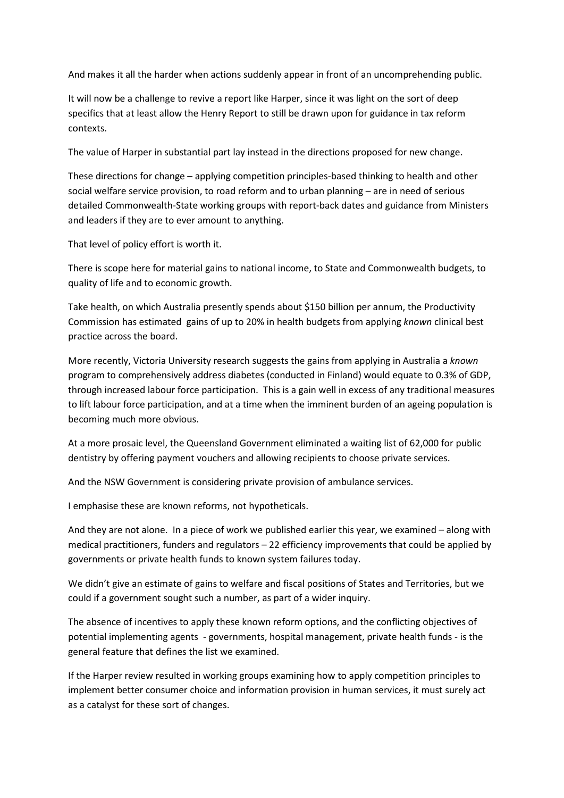And makes it all the harder when actions suddenly appear in front of an uncomprehending public.

It will now be a challenge to revive a report like Harper, since it was light on the sort of deep specifics that at least allow the Henry Report to still be drawn upon for guidance in tax reform contexts.

The value of Harper in substantial part lay instead in the directions proposed for new change.

These directions for change – applying competition principles-based thinking to health and other social welfare service provision, to road reform and to urban planning – are in need of serious detailed Commonwealth-State working groups with report-back dates and guidance from Ministers and leaders if they are to ever amount to anything.

That level of policy effort is worth it.

There is scope here for material gains to national income, to State and Commonwealth budgets, to quality of life and to economic growth.

Take health, on which Australia presently spends about \$150 billion per annum, the Productivity Commission has estimated gains of up to 20% in health budgets from applying *known* clinical best practice across the board.

More recently, Victoria University research suggests the gains from applying in Australia a *known* program to comprehensively address diabetes (conducted in Finland) would equate to 0.3% of GDP, through increased labour force participation. This is a gain well in excess of any traditional measures to lift labour force participation, and at a time when the imminent burden of an ageing population is becoming much more obvious.

At a more prosaic level, the Queensland Government eliminated a waiting list of 62,000 for public dentistry by offering payment vouchers and allowing recipients to choose private services.

And the NSW Government is considering private provision of ambulance services.

I emphasise these are known reforms, not hypotheticals.

And they are not alone. In a piece of work we published earlier this year, we examined – along with medical practitioners, funders and regulators – 22 efficiency improvements that could be applied by governments or private health funds to known system failures today.

We didn't give an estimate of gains to welfare and fiscal positions of States and Territories, but we could if a government sought such a number, as part of a wider inquiry.

The absence of incentives to apply these known reform options, and the conflicting objectives of potential implementing agents - governments, hospital management, private health funds - is the general feature that defines the list we examined.

If the Harper review resulted in working groups examining how to apply competition principles to implement better consumer choice and information provision in human services, it must surely act as a catalyst for these sort of changes.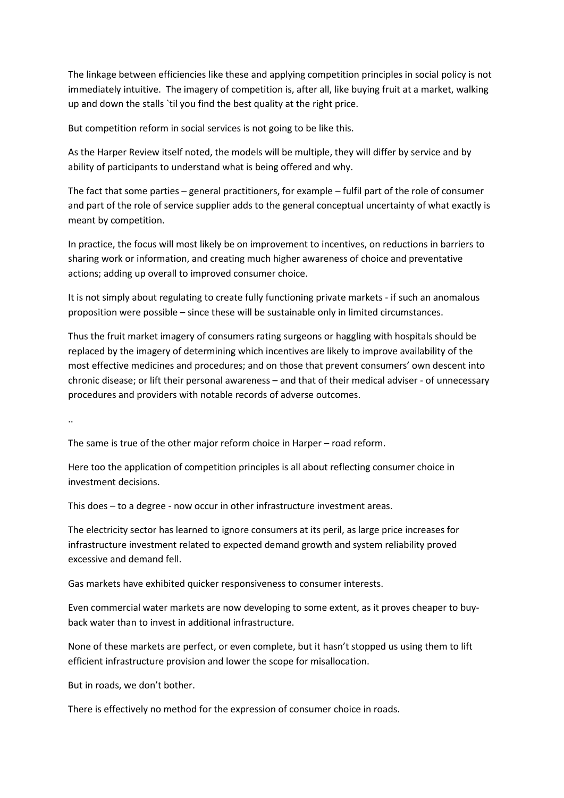The linkage between efficiencies like these and applying competition principles in social policy is not immediately intuitive. The imagery of competition is, after all, like buying fruit at a market, walking up and down the stalls `til you find the best quality at the right price.

But competition reform in social services is not going to be like this.

As the Harper Review itself noted, the models will be multiple, they will differ by service and by ability of participants to understand what is being offered and why.

The fact that some parties – general practitioners, for example – fulfil part of the role of consumer and part of the role of service supplier adds to the general conceptual uncertainty of what exactly is meant by competition.

In practice, the focus will most likely be on improvement to incentives, on reductions in barriers to sharing work or information, and creating much higher awareness of choice and preventative actions; adding up overall to improved consumer choice.

It is not simply about regulating to create fully functioning private markets - if such an anomalous proposition were possible – since these will be sustainable only in limited circumstances.

Thus the fruit market imagery of consumers rating surgeons or haggling with hospitals should be replaced by the imagery of determining which incentives are likely to improve availability of the most effective medicines and procedures; and on those that prevent consumers' own descent into chronic disease; or lift their personal awareness – and that of their medical adviser - of unnecessary procedures and providers with notable records of adverse outcomes.

..

The same is true of the other major reform choice in Harper – road reform.

Here too the application of competition principles is all about reflecting consumer choice in investment decisions.

This does – to a degree - now occur in other infrastructure investment areas.

The electricity sector has learned to ignore consumers at its peril, as large price increases for infrastructure investment related to expected demand growth and system reliability proved excessive and demand fell.

Gas markets have exhibited quicker responsiveness to consumer interests.

Even commercial water markets are now developing to some extent, as it proves cheaper to buyback water than to invest in additional infrastructure.

None of these markets are perfect, or even complete, but it hasn't stopped us using them to lift efficient infrastructure provision and lower the scope for misallocation.

But in roads, we don't bother.

There is effectively no method for the expression of consumer choice in roads.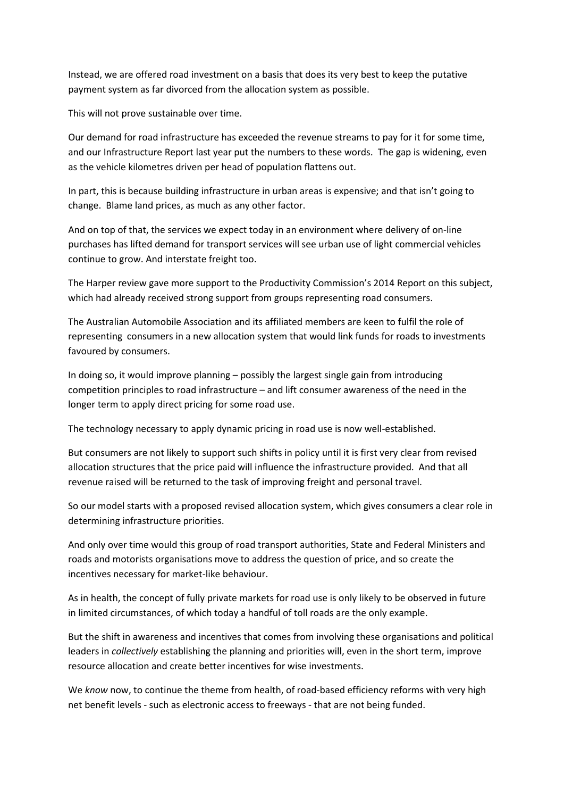Instead, we are offered road investment on a basis that does its very best to keep the putative payment system as far divorced from the allocation system as possible.

This will not prove sustainable over time.

Our demand for road infrastructure has exceeded the revenue streams to pay for it for some time, and our Infrastructure Report last year put the numbers to these words. The gap is widening, even as the vehicle kilometres driven per head of population flattens out.

In part, this is because building infrastructure in urban areas is expensive; and that isn't going to change. Blame land prices, as much as any other factor.

And on top of that, the services we expect today in an environment where delivery of on-line purchases has lifted demand for transport services will see urban use of light commercial vehicles continue to grow. And interstate freight too.

The Harper review gave more support to the Productivity Commission's 2014 Report on this subject, which had already received strong support from groups representing road consumers.

The Australian Automobile Association and its affiliated members are keen to fulfil the role of representing consumers in a new allocation system that would link funds for roads to investments favoured by consumers.

In doing so, it would improve planning – possibly the largest single gain from introducing competition principles to road infrastructure – and lift consumer awareness of the need in the longer term to apply direct pricing for some road use.

The technology necessary to apply dynamic pricing in road use is now well-established.

But consumers are not likely to support such shifts in policy until it is first very clear from revised allocation structures that the price paid will influence the infrastructure provided. And that all revenue raised will be returned to the task of improving freight and personal travel.

So our model starts with a proposed revised allocation system, which gives consumers a clear role in determining infrastructure priorities.

And only over time would this group of road transport authorities, State and Federal Ministers and roads and motorists organisations move to address the question of price, and so create the incentives necessary for market-like behaviour.

As in health, the concept of fully private markets for road use is only likely to be observed in future in limited circumstances, of which today a handful of toll roads are the only example.

But the shift in awareness and incentives that comes from involving these organisations and political leaders in *collectively* establishing the planning and priorities will, even in the short term, improve resource allocation and create better incentives for wise investments.

We *know* now, to continue the theme from health, of road-based efficiency reforms with very high net benefit levels - such as electronic access to freeways - that are not being funded.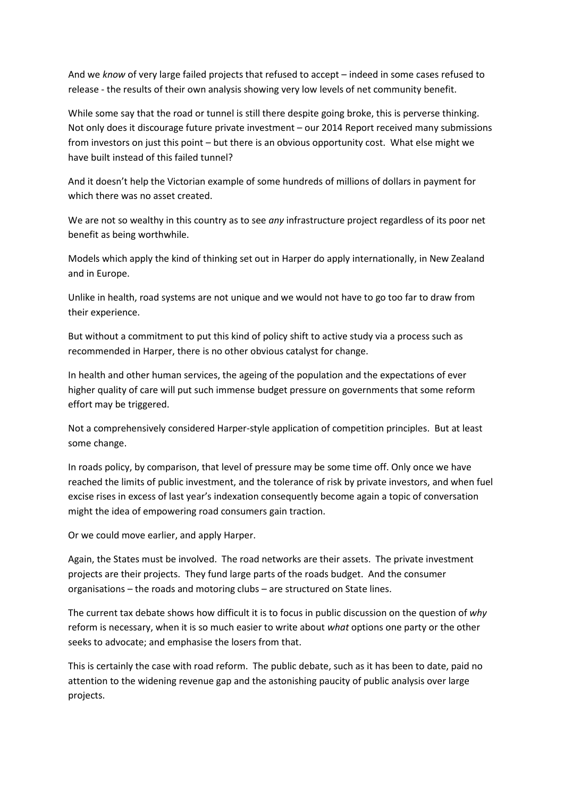And we *know* of very large failed projects that refused to accept – indeed in some cases refused to release - the results of their own analysis showing very low levels of net community benefit.

While some say that the road or tunnel is still there despite going broke, this is perverse thinking. Not only does it discourage future private investment – our 2014 Report received many submissions from investors on just this point – but there is an obvious opportunity cost. What else might we have built instead of this failed tunnel?

And it doesn't help the Victorian example of some hundreds of millions of dollars in payment for which there was no asset created.

We are not so wealthy in this country as to see *any* infrastructure project regardless of its poor net benefit as being worthwhile.

Models which apply the kind of thinking set out in Harper do apply internationally, in New Zealand and in Europe.

Unlike in health, road systems are not unique and we would not have to go too far to draw from their experience.

But without a commitment to put this kind of policy shift to active study via a process such as recommended in Harper, there is no other obvious catalyst for change.

In health and other human services, the ageing of the population and the expectations of ever higher quality of care will put such immense budget pressure on governments that some reform effort may be triggered.

Not a comprehensively considered Harper-style application of competition principles. But at least some change.

In roads policy, by comparison, that level of pressure may be some time off. Only once we have reached the limits of public investment, and the tolerance of risk by private investors, and when fuel excise rises in excess of last year's indexation consequently become again a topic of conversation might the idea of empowering road consumers gain traction.

Or we could move earlier, and apply Harper.

Again, the States must be involved. The road networks are their assets. The private investment projects are their projects. They fund large parts of the roads budget. And the consumer organisations – the roads and motoring clubs – are structured on State lines.

The current tax debate shows how difficult it is to focus in public discussion on the question of *why* reform is necessary, when it is so much easier to write about *what* options one party or the other seeks to advocate; and emphasise the losers from that.

This is certainly the case with road reform. The public debate, such as it has been to date, paid no attention to the widening revenue gap and the astonishing paucity of public analysis over large projects.